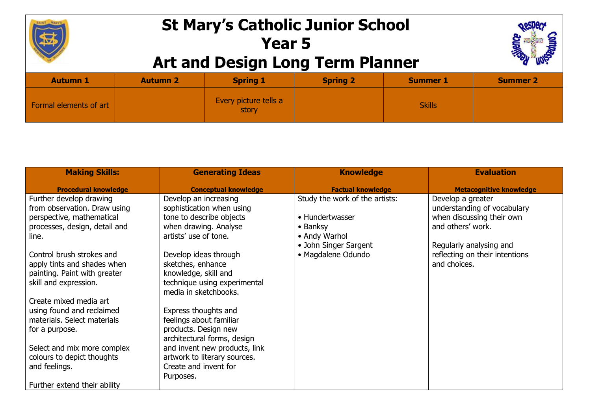

## **St Mary's Catholic Junior School Year 5 Art and Design Long Term Planner**



| <b>Autumn 1</b>        | <b>Autumn 2</b> | <b>Spring 1</b>                | <b>Spring 2</b> | <b>Summer 1</b> | <b>Summer 2</b> |
|------------------------|-----------------|--------------------------------|-----------------|-----------------|-----------------|
| Formal elements of art |                 | Every picture tells a<br>story |                 | <b>Skills</b>   |                 |

| <b>Making Skills:</b>         | <b>Generating Ideas</b>       | <b>Knowledge</b>               | <b>Evaluation</b>              |
|-------------------------------|-------------------------------|--------------------------------|--------------------------------|
| <b>Procedural knowledge</b>   | <b>Conceptual knowledge</b>   | <b>Factual knowledge</b>       | <b>Metacognitive knowledge</b> |
| Further develop drawing       | Develop an increasing         | Study the work of the artists: | Develop a greater              |
| from observation. Draw using  | sophistication when using     |                                | understanding of vocabulary    |
| perspective, mathematical     | tone to describe objects      | • Hundertwasser                | when discussing their own      |
| processes, design, detail and | when drawing. Analyse         | $\bullet$ Banksy               | and others' work.              |
| line.                         | artists' use of tone.         | • Andy Warhol                  |                                |
|                               |                               | • John Singer Sargent          | Regularly analysing and        |
| Control brush strokes and     | Develop ideas through         | • Magdalene Odundo             | reflecting on their intentions |
| apply tints and shades when   | sketches, enhance             |                                | and choices.                   |
| painting. Paint with greater  | knowledge, skill and          |                                |                                |
| skill and expression.         | technique using experimental  |                                |                                |
|                               | media in sketchbooks.         |                                |                                |
| Create mixed media art        |                               |                                |                                |
| using found and reclaimed     | Express thoughts and          |                                |                                |
| materials. Select materials   | feelings about familiar       |                                |                                |
| for a purpose.                | products. Design new          |                                |                                |
|                               | architectural forms, design   |                                |                                |
| Select and mix more complex   | and invent new products, link |                                |                                |
| colours to depict thoughts    | artwork to literary sources.  |                                |                                |
| and feelings.                 | Create and invent for         |                                |                                |
|                               | Purposes.                     |                                |                                |
| Further extend their ability  |                               |                                |                                |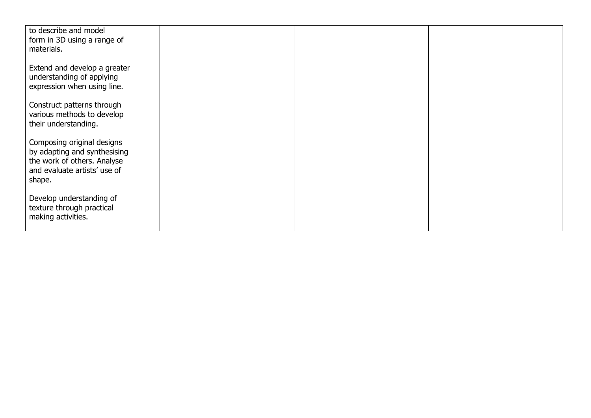| to describe and model<br>form in 3D using a range of<br>materials.                                                                  |  |  |
|-------------------------------------------------------------------------------------------------------------------------------------|--|--|
| Extend and develop a greater<br>understanding of applying<br>expression when using line.                                            |  |  |
| Construct patterns through<br>various methods to develop<br>their understanding.                                                    |  |  |
| Composing original designs<br>by adapting and synthesising<br>the work of others. Analyse<br>and evaluate artists' use of<br>shape. |  |  |
| Develop understanding of<br>texture through practical<br>making activities.                                                         |  |  |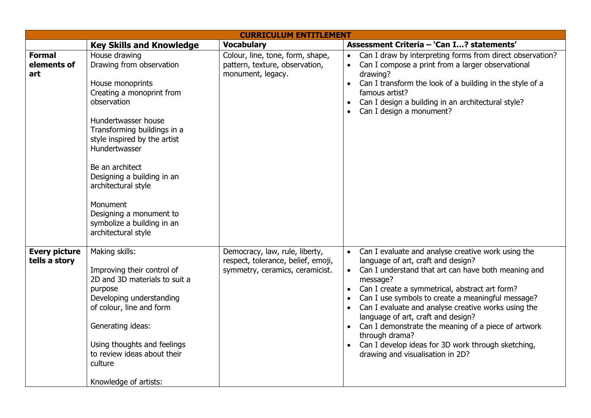| <b>CURRICULUM ENTITLEMENT</b>         |                                                                                                                                                                                                                                                                                                                                                                                      |                                                                                                         |                                                                                                                                                                                                                                                                                                                                                                                                                                                                                                                                                                                        |  |  |
|---------------------------------------|--------------------------------------------------------------------------------------------------------------------------------------------------------------------------------------------------------------------------------------------------------------------------------------------------------------------------------------------------------------------------------------|---------------------------------------------------------------------------------------------------------|----------------------------------------------------------------------------------------------------------------------------------------------------------------------------------------------------------------------------------------------------------------------------------------------------------------------------------------------------------------------------------------------------------------------------------------------------------------------------------------------------------------------------------------------------------------------------------------|--|--|
|                                       | <b>Key Skills and Knowledge</b>                                                                                                                                                                                                                                                                                                                                                      | <b>Vocabulary</b>                                                                                       | Assessment Criteria - 'Can I? statements'                                                                                                                                                                                                                                                                                                                                                                                                                                                                                                                                              |  |  |
| <b>Formal</b><br>elements of<br>art   | House drawing<br>Drawing from observation<br>House monoprints<br>Creating a monoprint from<br>observation<br>Hundertwasser house<br>Transforming buildings in a<br>style inspired by the artist<br>Hundertwasser<br>Be an architect<br>Designing a building in an<br>architectural style<br>Monument<br>Designing a monument to<br>symbolize a building in an<br>architectural style | Colour, line, tone, form, shape,<br>pattern, texture, observation,<br>monument, legacy.                 | Can I draw by interpreting forms from direct observation?<br>$\bullet$<br>Can I compose a print from a larger observational<br>$\bullet$<br>drawing?<br>Can I transform the look of a building in the style of a<br>$\bullet$<br>famous artist?<br>Can I design a building in an architectural style?<br>$\bullet$<br>Can I design a monument?<br>$\bullet$                                                                                                                                                                                                                            |  |  |
| <b>Every picture</b><br>tells a story | Making skills:<br>Improving their control of<br>2D and 3D materials to suit a<br>purpose<br>Developing understanding<br>of colour, line and form<br>Generating ideas:<br>Using thoughts and feelings<br>to review ideas about their<br>culture<br>Knowledge of artists:                                                                                                              | Democracy, law, rule, liberty,<br>respect, tolerance, belief, emoji,<br>symmetry, ceramics, ceramicist. | Can I evaluate and analyse creative work using the<br>$\bullet$<br>language of art, craft and design?<br>Can I understand that art can have both meaning and<br>message?<br>Can I create a symmetrical, abstract art form?<br>$\bullet$<br>Can I use symbols to create a meaningful message?<br>$\bullet$<br>Can I evaluate and analyse creative works using the<br>$\bullet$<br>language of art, craft and design?<br>Can I demonstrate the meaning of a piece of artwork<br>through drama?<br>Can I develop ideas for 3D work through sketching,<br>drawing and visualisation in 2D? |  |  |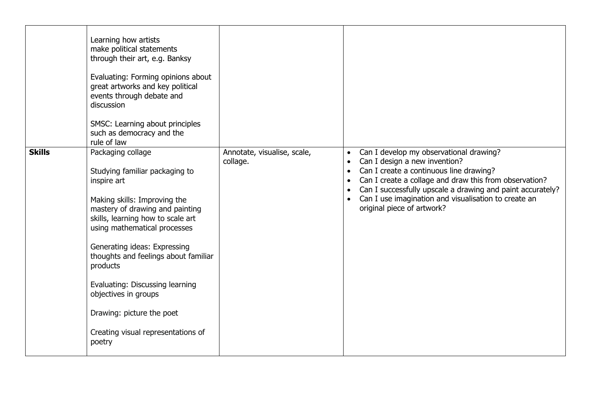|               | Learning how artists<br>make political statements<br>through their art, e.g. Banksy<br>Evaluating: Forming opinions about<br>great artworks and key political<br>events through debate and<br>discussion<br>SMSC: Learning about principles<br>such as democracy and the<br>rule of law                                                                                                                                                |                                         |                                                                                                                                                                                                                                                                                                                                                             |
|---------------|----------------------------------------------------------------------------------------------------------------------------------------------------------------------------------------------------------------------------------------------------------------------------------------------------------------------------------------------------------------------------------------------------------------------------------------|-----------------------------------------|-------------------------------------------------------------------------------------------------------------------------------------------------------------------------------------------------------------------------------------------------------------------------------------------------------------------------------------------------------------|
| <b>Skills</b> | Packaging collage<br>Studying familiar packaging to<br>inspire art<br>Making skills: Improving the<br>mastery of drawing and painting<br>skills, learning how to scale art<br>using mathematical processes<br>Generating ideas: Expressing<br>thoughts and feelings about familiar<br>products<br>Evaluating: Discussing learning<br>objectives in groups<br>Drawing: picture the poet<br>Creating visual representations of<br>poetry | Annotate, visualise, scale,<br>collage. | Can I develop my observational drawing?<br>$\bullet$<br>Can I design a new invention?<br>Can I create a continuous line drawing?<br>$\bullet$<br>Can I create a collage and draw this from observation?<br>Can I successfully upscale a drawing and paint accurately?<br>Can I use imagination and visualisation to create an<br>original piece of artwork? |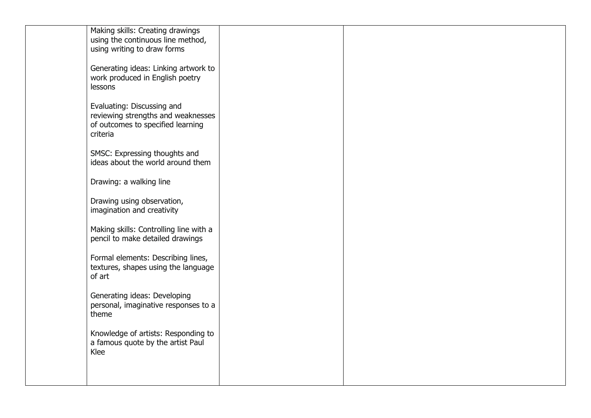| Making skills: Creating drawings              |  |  |
|-----------------------------------------------|--|--|
| using the continuous line method,             |  |  |
| using writing to draw forms                   |  |  |
|                                               |  |  |
| Generating ideas: Linking artwork to          |  |  |
| work produced in English poetry               |  |  |
| lessons                                       |  |  |
|                                               |  |  |
| Evaluating: Discussing and                    |  |  |
| reviewing strengths and weaknesses            |  |  |
| of outcomes to specified learning             |  |  |
| criteria                                      |  |  |
| SMSC: Expressing thoughts and                 |  |  |
| ideas about the world around them             |  |  |
|                                               |  |  |
| Drawing: a walking line                       |  |  |
|                                               |  |  |
| Drawing using observation,                    |  |  |
| imagination and creativity                    |  |  |
|                                               |  |  |
| Making skills: Controlling line with a        |  |  |
| pencil to make detailed drawings              |  |  |
|                                               |  |  |
| Formal elements: Describing lines,            |  |  |
| textures, shapes using the language           |  |  |
| of art                                        |  |  |
|                                               |  |  |
| Generating ideas: Developing                  |  |  |
| personal, imaginative responses to a<br>theme |  |  |
|                                               |  |  |
| Knowledge of artists: Responding to           |  |  |
| a famous quote by the artist Paul             |  |  |
| Klee                                          |  |  |
|                                               |  |  |
|                                               |  |  |
|                                               |  |  |
|                                               |  |  |